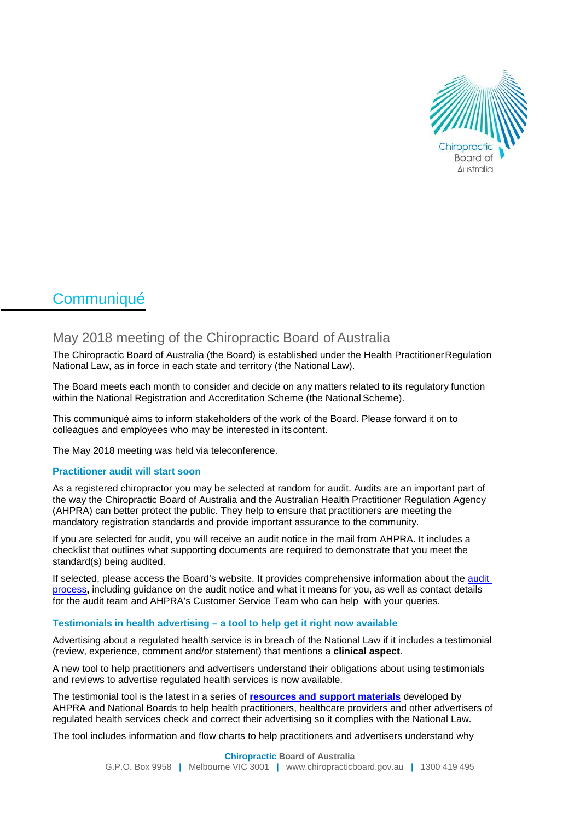

# **Communiqué**

# May 2018 meeting of the Chiropractic Board of Australia

The Chiropractic Board of Australia (the Board) is established under the Health PractitionerRegulation National Law, as in force in each state and territory (the National Law).

The Board meets each month to consider and decide on any matters related to its regulatory function within the National Registration and Accreditation Scheme (the National Scheme).

This communiqué aims to inform stakeholders of the work of the Board. Please forward it on to colleagues and employees who may be interested in its content.

The May 2018 meeting was held via teleconference.

## **Practitioner audit will start soon**

As a registered chiropractor you may be selected at random for audit. Audits are an important part of the way the Chiropractic Board of Australia and the Australian Health Practitioner Regulation Agency (AHPRA) can better protect the public. They help to ensure that practitioners are meeting the mandatory registration standards and provide important assurance to the community.

If you are selected for audit, you will receive an audit notice in the mail from AHPRA. It includes a checklist that outlines what supporting documents are required to demonstrate that you meet the standard(s) being audited.

If selected, please access the Board's website. It provides comprehensive information about the [audit](http://www.chiropracticboard.gov.au/Registration/Audit.aspx)  [process](http://www.chiropracticboard.gov.au/Registration/Audit.aspx)**,** including guidance on the audit notice and what it means for you, as well as contact details for the audit team and AHPRA's Customer Service Team who can help with your queries.

### **Testimonials in health advertising – a tool to help get it right now available**

Advertising about a regulated health service is in breach of the National Law if it includes a testimonial (review, experience, comment and/or statement) that mentions a **clinical aspect**.

A new tool to help practitioners and advertisers understand their obligations about using testimonials and reviews to advertise regulated health services is now available.

The testimonial tool is the latest in a series of **[resources and support materials](http://www.ahpra.gov.au/Publications/Advertising-resources/Check-and-correct.aspx)** developed by AHPRA and National Boards to help health practitioners, healthcare providers and other advertisers of regulated health services check and correct their advertising so it complies with the National Law.

The tool includes information and flow charts to help practitioners and advertisers understand why